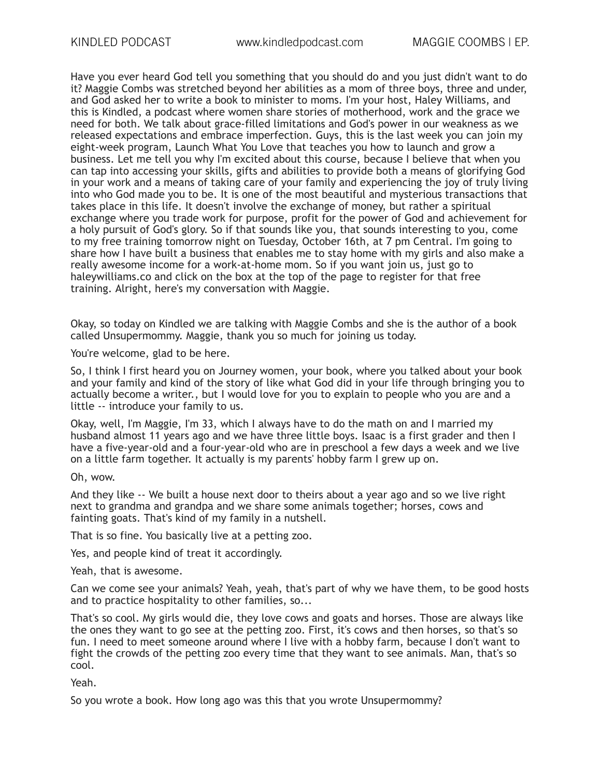Have you ever heard God tell you something that you should do and you just didn't want to do it? Maggie Combs was stretched beyond her abilities as a mom of three boys, three and under, and God asked her to write a book to minister to moms. I'm your host, Haley Williams, and this is Kindled, a podcast where women share stories of motherhood, work and the grace we need for both. We talk about grace-filled limitations and God's power in our weakness as we released expectations and embrace imperfection. Guys, this is the last week you can join my eight-week program, Launch What You Love that teaches you how to launch and grow a business. Let me tell you why I'm excited about this course, because I believe that when you can tap into accessing your skills, gifts and abilities to provide both a means of glorifying God in your work and a means of taking care of your family and experiencing the joy of truly living into who God made you to be. It is one of the most beautiful and mysterious transactions that takes place in this life. It doesn't involve the exchange of money, but rather a spiritual exchange where you trade work for purpose, profit for the power of God and achievement for a holy pursuit of God's glory. So if that sounds like you, that sounds interesting to you, come to my free training tomorrow night on Tuesday, October 16th, at 7 pm Central. I'm going to share how I have built a business that enables me to stay home with my girls and also make a really awesome income for a work-at-home mom. So if you want join us, just go to haleywilliams.co and click on the box at the top of the page to register for that free training. Alright, here's my conversation with Maggie.

Okay, so today on Kindled we are talking with Maggie Combs and she is the author of a book called Unsupermommy. Maggie, thank you so much for joining us today.

You're welcome, glad to be here.

So, I think I first heard you on Journey women, your book, where you talked about your book and your family and kind of the story of like what God did in your life through bringing you to actually become a writer., but I would love for you to explain to people who you are and a little -- introduce your family to us.

Okay, well, I'm Maggie, I'm 33, which I always have to do the math on and I married my husband almost 11 years ago and we have three little boys. Isaac is a first grader and then I have a five-year-old and a four-year-old who are in preschool a few days a week and we live on a little farm together. It actually is my parents' hobby farm I grew up on.

#### Oh, wow.

And they like -- We built a house next door to theirs about a year ago and so we live right next to grandma and grandpa and we share some animals together; horses, cows and fainting goats. That's kind of my family in a nutshell.

That is so fine. You basically live at a petting zoo.

Yes, and people kind of treat it accordingly.

Yeah, that is awesome.

Can we come see your animals? Yeah, yeah, that's part of why we have them, to be good hosts and to practice hospitality to other families, so...

That's so cool. My girls would die, they love cows and goats and horses. Those are always like the ones they want to go see at the petting zoo. First, it's cows and then horses, so that's so fun. I need to meet someone around where I live with a hobby farm, because I don't want to fight the crowds of the petting zoo every time that they want to see animals. Man, that's so cool.

Yeah.

So you wrote a book. How long ago was this that you wrote Unsupermommy?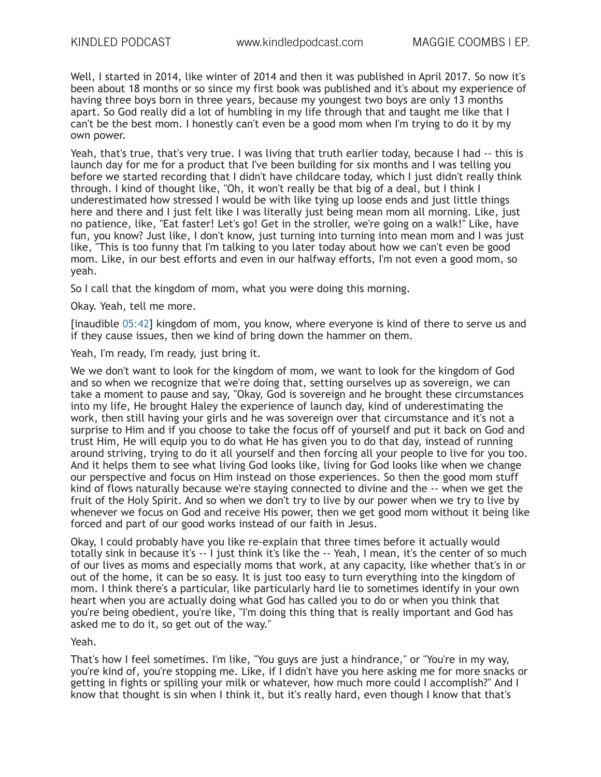Well, I started in 2014, like winter of 2014 and then it was published in April 2017. So now it's been about 18 months or so since my first book was published and it's about my experience of having three boys born in three years, because my youngest two boys are only 13 months apart. So God really did a lot of humbling in my life through that and taught me like that I can't be the best mom. I honestly can't even be a good mom when I'm trying to do it by my own power.

Yeah, that's true, that's very true. I was living that truth earlier today, because I had -- this is launch day for me for a product that I've been building for six months and I was telling you before we started recording that I didn't have childcare today, which I just didn't really think through. I kind of thought like, "Oh, it won't really be that big of a deal, but I think I underestimated how stressed I would be with like tying up loose ends and just little things here and there and I just felt like I was literally just being mean mom all morning. Like, just no patience, like, "Eat faster! Let's go! Get in the stroller, we're going on a walk!" Like, have fun, you know? Just like, I don't know, just turning into turning into mean mom and I was just like, "This is too funny that I'm talking to you later today about how we can't even be good mom. Like, in our best efforts and even in our halfway efforts, I'm not even a good mom, so yeah.

So I call that the kingdom of mom, what you were doing this morning.

Okay. Yeah, tell me more.

[inaudible 05:42] kingdom of mom, you know, where everyone is kind of there to serve us and if they cause issues, then we kind of bring down the hammer on them.

Yeah, I'm ready, I'm ready, just bring it.

We we don't want to look for the kingdom of mom, we want to look for the kingdom of God and so when we recognize that we're doing that, setting ourselves up as sovereign, we can take a moment to pause and say, "Okay, God is sovereign and he brought these circumstances into my life, He brought Haley the experience of launch day, kind of underestimating the work, then still having your girls and he was sovereign over that circumstance and it's not a surprise to Him and if you choose to take the focus off of yourself and put it back on God and trust Him, He will equip you to do what He has given you to do that day, instead of running around striving, trying to do it all yourself and then forcing all your people to live for you too. And it helps them to see what living God looks like, living for God looks like when we change our perspective and focus on Him instead on those experiences. So then the good mom stuff kind of flows naturally because we're staying connected to divine and the -- when we get the fruit of the Holy Spirit. And so when we don't try to live by our power when we try to live by whenever we focus on God and receive His power, then we get good mom without it being like forced and part of our good works instead of our faith in Jesus.

Okay, I could probably have you like re-explain that three times before it actually would totally sink in because it's -- I just think it's like the -- Yeah, I mean, it's the center of so much of our lives as moms and especially moms that work, at any capacity, like whether that's in or out of the home, it can be so easy. It is just too easy to turn everything into the kingdom of mom. I think there's a particular, like particularly hard lie to sometimes identify in your own heart when you are actually doing what God has called you to do or when you think that you're being obedient, you're like, "I'm doing this thing that is really important and God has asked me to do it, so get out of the way."

Yeah.

That's how I feel sometimes. I'm like, "You guys are just a hindrance," or "You're in my way, you're kind of, you're stopping me. Like, if I didn't have you here asking me for more snacks or getting in fights or spilling your milk or whatever, how much more could I accomplish?" And I know that thought is sin when I think it, but it's really hard, even though I know that that's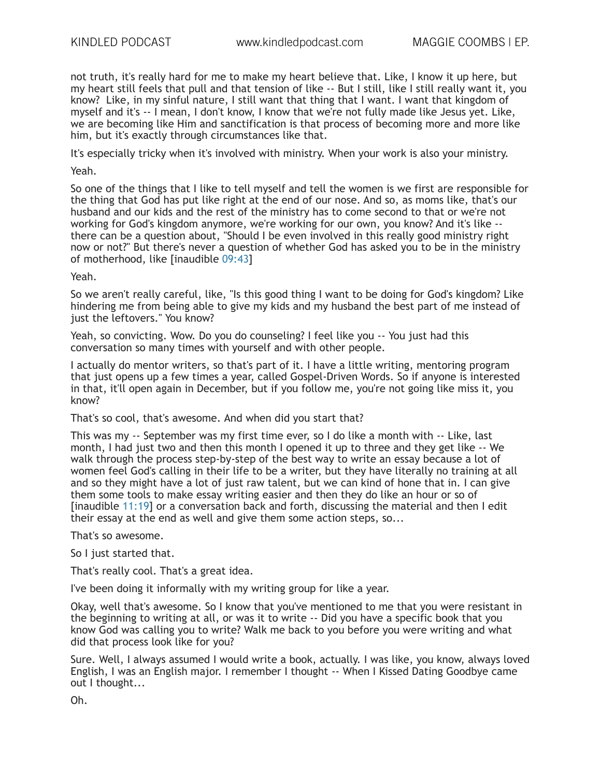not truth, it's really hard for me to make my heart believe that. Like, I know it up here, but my heart still feels that pull and that tension of like -- But I still, like I still really want it, you know? Like, in my sinful nature, I still want that thing that I want. I want that kingdom of myself and it's -- I mean, I don't know, I know that we're not fully made like Jesus yet. Like, we are becoming like Him and sanctification is that process of becoming more and more like him, but it's exactly through circumstances like that.

It's especially tricky when it's involved with ministry. When your work is also your ministry.

Yeah.

So one of the things that I like to tell myself and tell the women is we first are responsible for the thing that God has put like right at the end of our nose. And so, as moms like, that's our husband and our kids and the rest of the ministry has to come second to that or we're not working for God's kingdom anymore, we're working for our own, you know? And it's like - there can be a question about, "Should I be even involved in this really good ministry right now or not?" But there's never a question of whether God has asked you to be in the ministry of motherhood, like [inaudible 09:43]

Yeah.

So we aren't really careful, like, "Is this good thing I want to be doing for God's kingdom? Like hindering me from being able to give my kids and my husband the best part of me instead of just the leftovers." You know?

Yeah, so convicting. Wow. Do you do counseling? I feel like you -- You just had this conversation so many times with yourself and with other people.

I actually do mentor writers, so that's part of it. I have a little writing, mentoring program that just opens up a few times a year, called Gospel-Driven Words. So if anyone is interested in that, it'll open again in December, but if you follow me, you're not going like miss it, you know?

That's so cool, that's awesome. And when did you start that?

This was my -- September was my first time ever, so I do like a month with -- Like, last month, I had just two and then this month I opened it up to three and they get like -- We walk through the process step-by-step of the best way to write an essay because a lot of women feel God's calling in their life to be a writer, but they have literally no training at all and so they might have a lot of just raw talent, but we can kind of hone that in. I can give them some tools to make essay writing easier and then they do like an hour or so of [inaudible 11:19] or a conversation back and forth, discussing the material and then I edit their essay at the end as well and give them some action steps. so...

That's so awesome.

So I just started that.

That's really cool. That's a great idea.

I've been doing it informally with my writing group for like a year.

Okay, well that's awesome. So I know that you've mentioned to me that you were resistant in the beginning to writing at all, or was it to write -- Did you have a specific book that you know God was calling you to write? Walk me back to you before you were writing and what did that process look like for you?

Sure. Well, I always assumed I would write a book, actually. I was like, you know, always loved English, I was an English major. I remember I thought -- When I Kissed Dating Goodbye came out I thought...

Oh.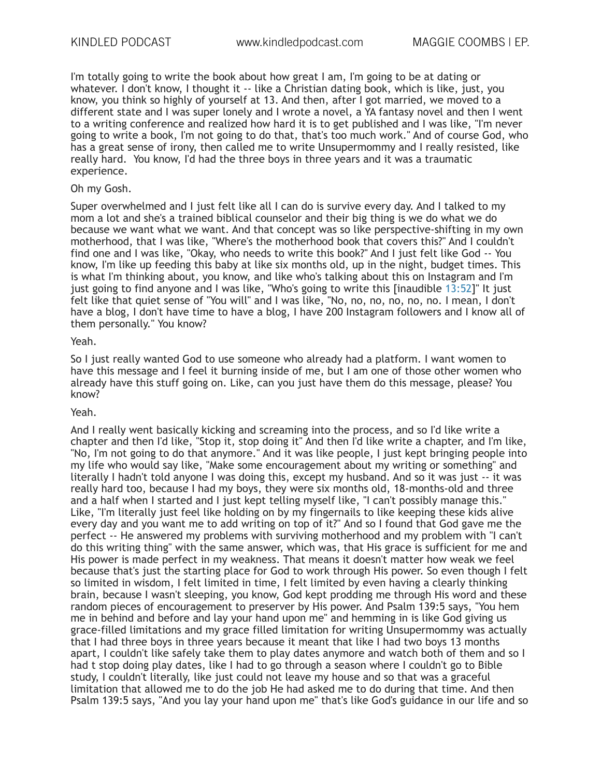I'm totally going to write the book about how great I am, I'm going to be at dating or whatever. I don't know, I thought it -- like a Christian dating book, which is like, just, you know, you think so highly of yourself at 13. And then, after I got married, we moved to a different state and I was super lonely and I wrote a novel, a YA fantasy novel and then I went to a writing conference and realized how hard it is to get published and I was like, "I'm never going to write a book, I'm not going to do that, that's too much work." And of course God, who has a great sense of irony, then called me to write Unsupermommy and I really resisted, like really hard. You know, I'd had the three boys in three years and it was a traumatic experience.

### Oh my Gosh.

Super overwhelmed and I just felt like all I can do is survive every day. And I talked to my mom a lot and she's a trained biblical counselor and their big thing is we do what we do because we want what we want. And that concept was so like perspective-shifting in my own motherhood, that I was like, "Where's the motherhood book that covers this?" And I couldn't find one and I was like, "Okay, who needs to write this book?" And I just felt like God -- You know, I'm like up feeding this baby at like six months old, up in the night, budget times. This is what I'm thinking about, you know, and like who's talking about this on Instagram and I'm just going to find anyone and I was like, "Who's going to write this [inaudible 13:52]" It just felt like that quiet sense of "You will" and I was like, "No, no, no, no, no, no. I mean, I don't have a blog, I don't have time to have a blog, I have 200 Instagram followers and I know all of them personally." You know?

#### Yeah.

So I just really wanted God to use someone who already had a platform. I want women to have this message and I feel it burning inside of me, but I am one of those other women who already have this stuff going on. Like, can you just have them do this message, please? You know?

# Yeah.

And I really went basically kicking and screaming into the process, and so I'd like write a chapter and then I'd like, "Stop it, stop doing it" And then I'd like write a chapter, and I'm like, "No, I'm not going to do that anymore." And it was like people, I just kept bringing people into my life who would say like, "Make some encouragement about my writing or something" and literally I hadn't told anyone I was doing this, except my husband. And so it was just -- it was really hard too, because I had my boys, they were six months old, 18-months-old and three and a half when I started and I just kept telling myself like, "I can't possibly manage this." Like, "I'm literally just feel like holding on by my fingernails to like keeping these kids alive every day and you want me to add writing on top of it?" And so I found that God gave me the perfect -- He answered my problems with surviving motherhood and my problem with "I can't do this writing thing" with the same answer, which was, that His grace is sufficient for me and His power is made perfect in my weakness. That means it doesn't matter how weak we feel because that's just the starting place for God to work through His power. So even though I felt so limited in wisdom, I felt limited in time, I felt limited by even having a clearly thinking brain, because I wasn't sleeping, you know, God kept prodding me through His word and these random pieces of encouragement to preserver by His power. And Psalm 139:5 says, "You hem me in behind and before and lay your hand upon me" and hemming in is like God giving us grace-filled limitations and my grace filled limitation for writing Unsupermommy was actually that I had three boys in three years because it meant that like I had two boys 13 months apart, I couldn't like safely take them to play dates anymore and watch both of them and so I had t stop doing play dates, like I had to go through a season where I couldn't go to Bible study, I couldn't literally, like just could not leave my house and so that was a graceful limitation that allowed me to do the job He had asked me to do during that time. And then Psalm 139:5 says, "And you lay your hand upon me" that's like God's guidance in our life and so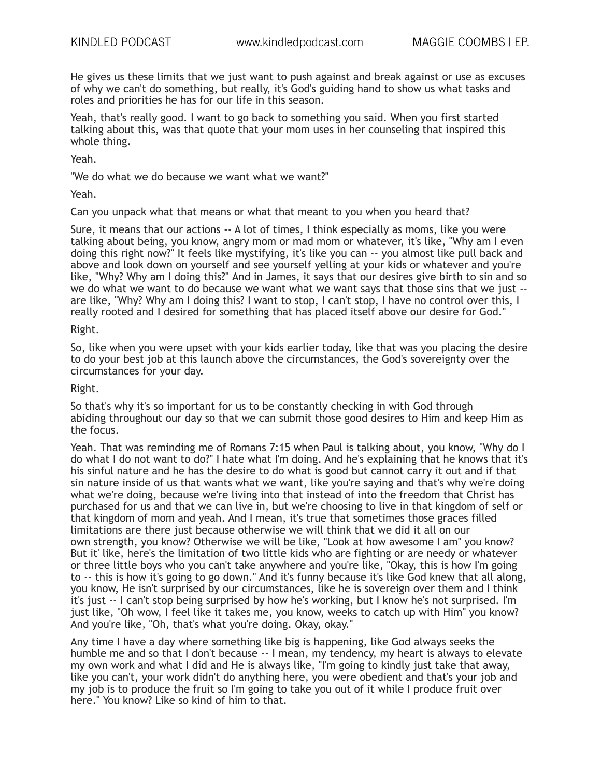He gives us these limits that we just want to push against and break against or use as excuses of why we can't do something, but really, it's God's guiding hand to show us what tasks and roles and priorities he has for our life in this season.

Yeah, that's really good. I want to go back to something you said. When you first started talking about this, was that quote that your mom uses in her counseling that inspired this whole thing.

Yeah.

"We do what we do because we want what we want?"

Yeah.

Can you unpack what that means or what that meant to you when you heard that?

Sure, it means that our actions -- A lot of times, I think especially as moms, like you were talking about being, you know, angry mom or mad mom or whatever, it's like, "Why am I even doing this right now?" It feels like mystifying, it's like you can -- you almost like pull back and above and look down on yourself and see yourself yelling at your kids or whatever and you're like, "Why? Why am I doing this?" And in James, it says that our desires give birth to sin and so we do what we want to do because we want what we want says that those sins that we just - are like, "Why? Why am I doing this? I want to stop, I can't stop, I have no control over this, I really rooted and I desired for something that has placed itself above our desire for God."

#### Right.

So, like when you were upset with your kids earlier today, like that was you placing the desire to do your best job at this launch above the circumstances, the God's sovereignty over the circumstances for your day.

### Right.

So that's why it's so important for us to be constantly checking in with God through abiding throughout our day so that we can submit those good desires to Him and keep Him as the focus.

Yeah. That was reminding me of Romans 7:15 when Paul is talking about, you know, "Why do I do what I do not want to do?" I hate what I'm doing. And he's explaining that he knows that it's his sinful nature and he has the desire to do what is good but cannot carry it out and if that sin nature inside of us that wants what we want, like you're saying and that's why we're doing what we're doing, because we're living into that instead of into the freedom that Christ has purchased for us and that we can live in, but we're choosing to live in that kingdom of self or that kingdom of mom and yeah. And I mean, it's true that sometimes those graces filled limitations are there just because otherwise we will think that we did it all on our own strength, you know? Otherwise we will be like, "Look at how awesome I am" you know? But it' like, here's the limitation of two little kids who are fighting or are needy or whatever or three little boys who you can't take anywhere and you're like, "Okay, this is how I'm going to -- this is how it's going to go down." And it's funny because it's like God knew that all along, you know, He isn't surprised by our circumstances, like he is sovereign over them and I think it's just -- I can't stop being surprised by how he's working, but I know he's not surprised. I'm just like, "Oh wow, I feel like it takes me, you know, weeks to catch up with Him" you know? And you're like, "Oh, that's what you're doing. Okay, okay."

Any time I have a day where something like big is happening, like God always seeks the humble me and so that I don't because -- I mean, my tendency, my heart is always to elevate my own work and what I did and He is always like, "I'm going to kindly just take that away, like you can't, your work didn't do anything here, you were obedient and that's your job and my job is to produce the fruit so I'm going to take you out of it while I produce fruit over here." You know? Like so kind of him to that.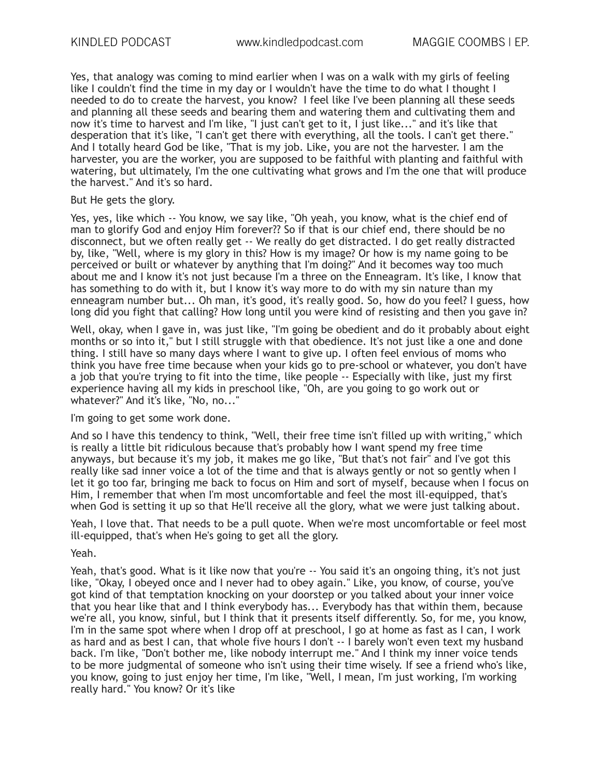Yes, that analogy was coming to mind earlier when I was on a walk with my girls of feeling like I couldn't find the time in my day or I wouldn't have the time to do what I thought I needed to do to create the harvest, you know? I feel like I've been planning all these seeds and planning all these seeds and bearing them and watering them and cultivating them and now it's time to harvest and I'm like, "I just can't get to it, I just like..." and it's like that desperation that it's like, "I can't get there with everything, all the tools. I can't get there." And I totally heard God be like, "That is my job. Like, you are not the harvester. I am the harvester, you are the worker, you are supposed to be faithful with planting and faithful with watering, but ultimately, I'm the one cultivating what grows and I'm the one that will produce the harvest." And it's so hard.

## But He gets the glory.

Yes, yes, like which -- You know, we say like, "Oh yeah, you know, what is the chief end of man to glorify God and enjoy Him forever?? So if that is our chief end, there should be no disconnect, but we often really get -- We really do get distracted. I do get really distracted by, like, "Well, where is my glory in this? How is my image? Or how is my name going to be perceived or built or whatever by anything that I'm doing?" And it becomes way too much about me and I know it's not just because I'm a three on the Enneagram. It's like, I know that has something to do with it, but I know it's way more to do with my sin nature than my enneagram number but... Oh man, it's good, it's really good. So, how do you feel? I guess, how long did you fight that calling? How long until you were kind of resisting and then you gave in?

Well, okay, when I gave in, was just like, "I'm going be obedient and do it probably about eight months or so into it," but I still struggle with that obedience. It's not just like a one and done thing. I still have so many days where I want to give up. I often feel envious of moms who think you have free time because when your kids go to pre-school or whatever, you don't have a job that you're trying to fit into the time, like people -- Especially with like, just my first experience having all my kids in preschool like, "Oh, are you going to go work out or whatever?" And it's like, "No, no..."

## I'm going to get some work done.

And so I have this tendency to think, "Well, their free time isn't filled up with writing," which is really a little bit ridiculous because that's probably how I want spend my free time anyways, but because it's my job, it makes me go like, "But that's not fair" and I've got this really like sad inner voice a lot of the time and that is always gently or not so gently when I let it go too far, bringing me back to focus on Him and sort of myself, because when I focus on Him, I remember that when I'm most uncomfortable and feel the most ill-equipped, that's when God is setting it up so that He'll receive all the glory, what we were just talking about.

Yeah, I love that. That needs to be a pull quote. When we're most uncomfortable or feel most ill-equipped, that's when He's going to get all the glory.

Yeah.

Yeah, that's good. What is it like now that you're -- You said it's an ongoing thing, it's not just like, "Okay, I obeyed once and I never had to obey again." Like, you know, of course, you've got kind of that temptation knocking on your doorstep or you talked about your inner voice that you hear like that and I think everybody has... Everybody has that within them, because we're all, you know, sinful, but I think that it presents itself differently. So, for me, you know, I'm in the same spot where when I drop off at preschool, I go at home as fast as I can, I work as hard and as best I can, that whole five hours I don't -- I barely won't even text my husband back. I'm like, "Don't bother me, like nobody interrupt me." And I think my inner voice tends to be more judgmental of someone who isn't using their time wisely. If see a friend who's like, you know, going to just enjoy her time, I'm like, "Well, I mean, I'm just working, I'm working really hard." You know? Or it's like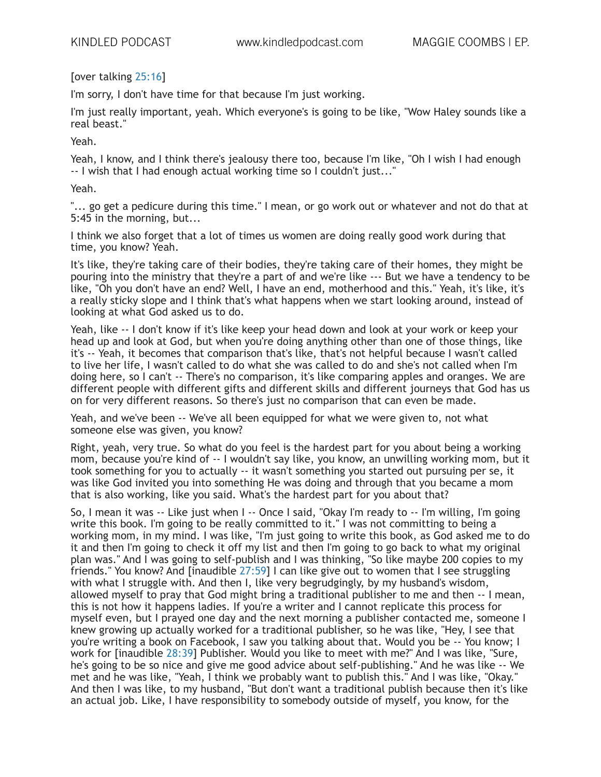[over talking 25:16]

I'm sorry, I don't have time for that because I'm just working.

I'm just really important, yeah. Which everyone's is going to be like, "Wow Haley sounds like a real beast."

Yeah.

Yeah, I know, and I think there's jealousy there too, because I'm like, "Oh I wish I had enough -- I wish that I had enough actual working time so I couldn't just..."

Yeah.

"... go get a pedicure during this time." I mean, or go work out or whatever and not do that at 5:45 in the morning, but...

I think we also forget that a lot of times us women are doing really good work during that time, you know? Yeah.

It's like, they're taking care of their bodies, they're taking care of their homes, they might be pouring into the ministry that they're a part of and we're like --- But we have a tendency to be like, "Oh you don't have an end? Well, I have an end, motherhood and this." Yeah, it's like, it's a really sticky slope and I think that's what happens when we start looking around, instead of looking at what God asked us to do.

Yeah, like -- I don't know if it's like keep your head down and look at your work or keep your head up and look at God, but when you're doing anything other than one of those things, like it's -- Yeah, it becomes that comparison that's like, that's not helpful because I wasn't called to live her life, I wasn't called to do what she was called to do and she's not called when I'm doing here, so I can't -- There's no comparison, it's like comparing apples and oranges. We are different people with different gifts and different skills and different journeys that God has us on for very different reasons. So there's just no comparison that can even be made.

Yeah, and we've been -- We've all been equipped for what we were given to, not what someone else was given, you know?

Right, yeah, very true. So what do you feel is the hardest part for you about being a working mom, because you're kind of -- I wouldn't say like, you know, an unwilling working mom, but it took something for you to actually -- it wasn't something you started out pursuing per se, it was like God invited you into something He was doing and through that you became a mom that is also working, like you said. What's the hardest part for you about that?

So, I mean it was -- Like just when I -- Once I said, "Okay I'm ready to -- I'm willing, I'm going write this book. I'm going to be really committed to it." I was not committing to being a working mom, in my mind. I was like, "I'm just going to write this book, as God asked me to do it and then I'm going to check it off my list and then I'm going to go back to what my original plan was." And I was going to self-publish and I was thinking, "So like maybe 200 copies to my friends." You know? And [inaudible 27:59] I can like give out to women that I see struggling with what I struggle with. And then I, like very begrudgingly, by my husband's wisdom, allowed myself to pray that God might bring a traditional publisher to me and then -- I mean, this is not how it happens ladies. If you're a writer and I cannot replicate this process for myself even, but I prayed one day and the next morning a publisher contacted me, someone I knew growing up actually worked for a traditional publisher, so he was like, "Hey, I see that you're writing a book on Facebook, I saw you talking about that. Would you be -- You know; I work for [inaudible 28:39] Publisher. Would you like to meet with me?" And I was like, "Sure, he's going to be so nice and give me good advice about self-publishing." And he was like -- We met and he was like, "Yeah, I think we probably want to publish this." And I was like, "Okay." And then I was like, to my husband, "But don't want a traditional publish because then it's like an actual job. Like, I have responsibility to somebody outside of myself, you know, for the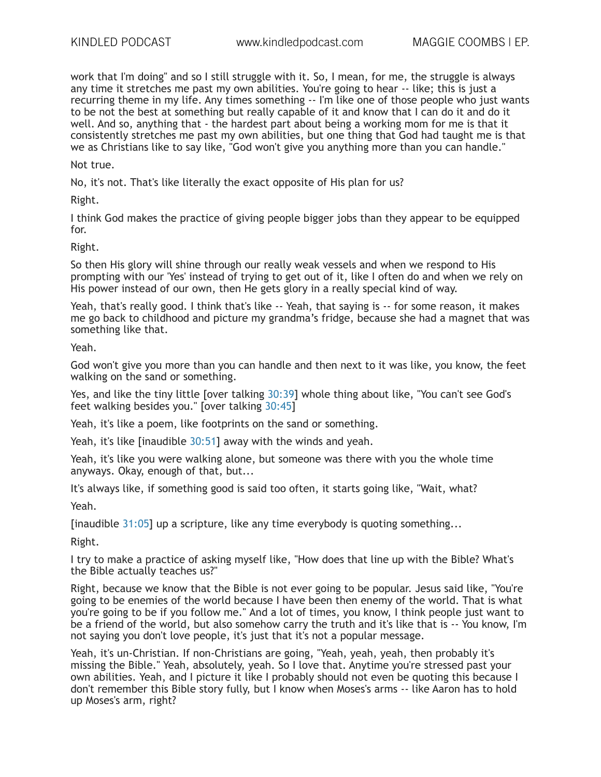work that I'm doing" and so I still struggle with it. So, I mean, for me, the struggle is always any time it stretches me past my own abilities. You're going to hear -- like; this is just a recurring theme in my life. Any times something -- I'm like one of those people who just wants to be not the best at something but really capable of it and know that I can do it and do it well. And so, anything that - the hardest part about being a working mom for me is that it consistently stretches me past my own abilities, but one thing that God had taught me is that we as Christians like to say like, "God won't give you anything more than you can handle."

Not true.

No, it's not. That's like literally the exact opposite of His plan for us?

Right.

I think God makes the practice of giving people bigger jobs than they appear to be equipped for.

#### Right.

So then His glory will shine through our really weak vessels and when we respond to His prompting with our 'Yes' instead of trying to get out of it, like I often do and when we rely on His power instead of our own, then He gets glory in a really special kind of way.

Yeah, that's really good. I think that's like -- Yeah, that saying is -- for some reason, it makes me go back to childhood and picture my grandma's fridge, because she had a magnet that was something like that.

Yeah.

God won't give you more than you can handle and then next to it was like, you know, the feet walking on the sand or something.

Yes, and like the tiny little [over talking 30:39] whole thing about like, "You can't see God's feet walking besides you." [over talking 30:45]

Yeah, it's like a poem, like footprints on the sand or something.

Yeah, it's like [inaudible 30:51] away with the winds and yeah.

Yeah, it's like you were walking alone, but someone was there with you the whole time anyways. Okay, enough of that, but...

It's always like, if something good is said too often, it starts going like, "Wait, what?

Yeah.

[inaudible 31:05] up a scripture, like any time everybody is quoting something...

Right.

I try to make a practice of asking myself like, "How does that line up with the Bible? What's the Bible actually teaches us?"

Right, because we know that the Bible is not ever going to be popular. Jesus said like, "You're going to be enemies of the world because I have been then enemy of the world. That is what you're going to be if you follow me." And a lot of times, you know, I think people just want to be a friend of the world, but also somehow carry the truth and it's like that is -- You know, I'm not saying you don't love people, it's just that it's not a popular message.

Yeah, it's un-Christian. If non-Christians are going, "Yeah, yeah, yeah, then probably it's missing the Bible." Yeah, absolutely, yeah. So I love that. Anytime you're stressed past your own abilities. Yeah, and I picture it like I probably should not even be quoting this because I don't remember this Bible story fully, but I know when Moses's arms -- like Aaron has to hold up Moses's arm, right?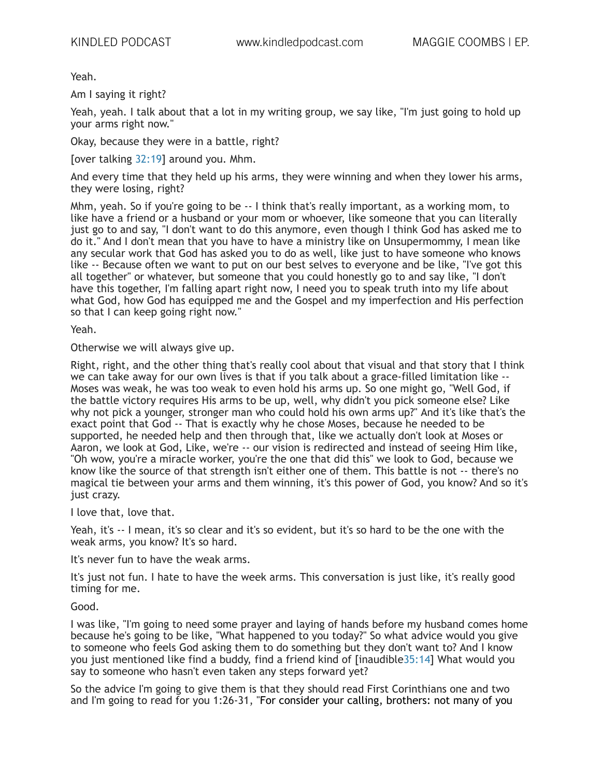Yeah.

Am I saying it right?

Yeah, yeah. I talk about that a lot in my writing group, we say like, "I'm just going to hold up your arms right now."

Okay, because they were in a battle, right?

[over talking 32:19] around you. Mhm.

And every time that they held up his arms, they were winning and when they lower his arms, they were losing, right?

Mhm, yeah. So if you're going to be -- I think that's really important, as a working mom, to like have a friend or a husband or your mom or whoever, like someone that you can literally just go to and say, "I don't want to do this anymore, even though I think God has asked me to do it." And I don't mean that you have to have a ministry like on Unsupermommy, I mean like any secular work that God has asked you to do as well, like just to have someone who knows like -- Because often we want to put on our best selves to everyone and be like, "I've got this all together" or whatever, but someone that you could honestly go to and say like, "I don't have this together, I'm falling apart right now, I need you to speak truth into my life about what God, how God has equipped me and the Gospel and my imperfection and His perfection so that I can keep going right now."

Yeah.

Otherwise we will always give up.

Right, right, and the other thing that's really cool about that visual and that story that I think we can take away for our own lives is that if you talk about a grace-filled limitation like -- Moses was weak, he was too weak to even hold his arms up. So one might go, "Well God, if the battle victory requires His arms to be up, well, why didn't you pick someone else? Like why not pick a younger, stronger man who could hold his own arms up?" And it's like that's the exact point that God -- That is exactly why he chose Moses, because he needed to be supported, he needed help and then through that, like we actually don't look at Moses or Aaron, we look at God, Like, we're -- our vision is redirected and instead of seeing Him like, "Oh wow, you're a miracle worker, you're the one that did this" we look to God, because we know like the source of that strength isn't either one of them. This battle is not -- there's no magical tie between your arms and them winning, it's this power of God, you know? And so it's just crazy.

I love that, love that.

Yeah, it's -- I mean, it's so clear and it's so evident, but it's so hard to be the one with the weak arms, you know? It's so hard.

It's never fun to have the weak arms.

It's just not fun. I hate to have the week arms. This conversation is just like, it's really good timing for me.

Good.

I was like, "I'm going to need some prayer and laying of hands before my husband comes home because he's going to be like, "What happened to you today?" So what advice would you give to someone who feels God asking them to do something but they don't want to? And I know you just mentioned like find a buddy, find a friend kind of [inaudible35:14] What would you say to someone who hasn't even taken any steps forward yet?

So the advice I'm going to give them is that they should read First Corinthians one and two and I'm going to read for you 1:26-31, "For consider your calling, brothers: not many of you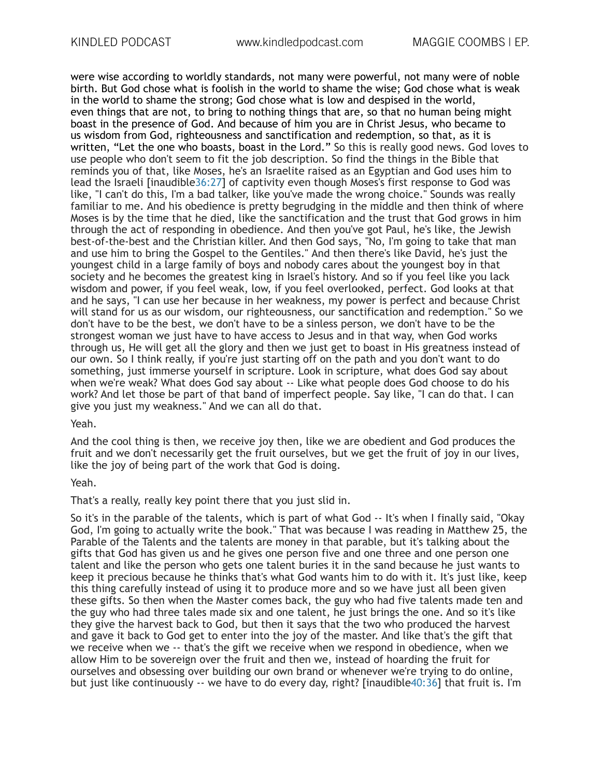were wise according to worldly standards, not many were powerful, not many were of noble birth. But God chose what is foolish in the world to shame the wise; God chose what is weak in the world to shame the strong; God chose what is low and despised in the world, even things that are not, to bring to nothing things that are, so that no human being might boast in the presence of God. And because of him you are in Christ Jesus, who became to us wisdom from God, righteousness and sanctification and redemption, so that, as it is written, "Let the one who boasts, boast in the Lord." So this is really good news. God loves to use people who don't seem to fit the job description. So find the things in the Bible that reminds you of that, like Moses, he's an Israelite raised as an Egyptian and God uses him to lead the Israeli [inaudible36:27] of captivity even though Moses's first response to God was like, "I can't do this, I'm a bad talker, like you've made the wrong choice." Sounds was really familiar to me. And his obedience is pretty begrudging in the middle and then think of where Moses is by the time that he died, like the sanctification and the trust that God grows in him through the act of responding in obedience. And then you've got Paul, he's like, the Jewish best-of-the-best and the Christian killer. And then God says, "No, I'm going to take that man and use him to bring the Gospel to the Gentiles." And then there's like David, he's just the youngest child in a large family of boys and nobody cares about the youngest boy in that society and he becomes the greatest king in Israel's history. And so if you feel like you lack wisdom and power, if you feel weak, low, if you feel overlooked, perfect. God looks at that and he says, "I can use her because in her weakness, my power is perfect and because Christ will stand for us as our wisdom, our righteousness, our sanctification and redemption." So we don't have to be the best, we don't have to be a sinless person, we don't have to be the strongest woman we just have to have access to Jesus and in that way, when God works through us, He will get all the glory and then we just get to boast in His greatness instead of our own. So I think really, if you're just starting off on the path and you don't want to do something, just immerse yourself in scripture. Look in scripture, what does God say about when we're weak? What does God say about -- Like what people does God choose to do his work? And let those be part of that band of imperfect people. Say like, "I can do that. I can give you just my weakness." And we can all do that.

Yeah.

And the cool thing is then, we receive joy then, like we are obedient and God produces the fruit and we don't necessarily get the fruit ourselves, but we get the fruit of joy in our lives, like the joy of being part of the work that God is doing.

# Yeah.

That's a really, really key point there that you just slid in.

So it's in the parable of the talents, which is part of what God -- It's when I finally said, "Okay God, I'm going to actually write the book." That was because I was reading in Matthew 25, the Parable of the Talents and the talents are money in that parable, but it's talking about the gifts that God has given us and he gives one person five and one three and one person one talent and like the person who gets one talent buries it in the sand because he just wants to keep it precious because he thinks that's what God wants him to do with it. It's just like, keep this thing carefully instead of using it to produce more and so we have just all been given these gifts. So then when the Master comes back, the guy who had five talents made ten and the guy who had three tales made six and one talent, he just brings the one. And so it's like they give the harvest back to God, but then it says that the two who produced the harvest and gave it back to God get to enter into the joy of the master. And like that's the gift that we receive when we -- that's the gift we receive when we respond in obedience, when we allow Him to be sovereign over the fruit and then we, instead of hoarding the fruit for ourselves and obsessing over building our own brand or whenever we're trying to do online, but just like continuously -- we have to do every day, right? [inaudible40:36] that fruit is. I'm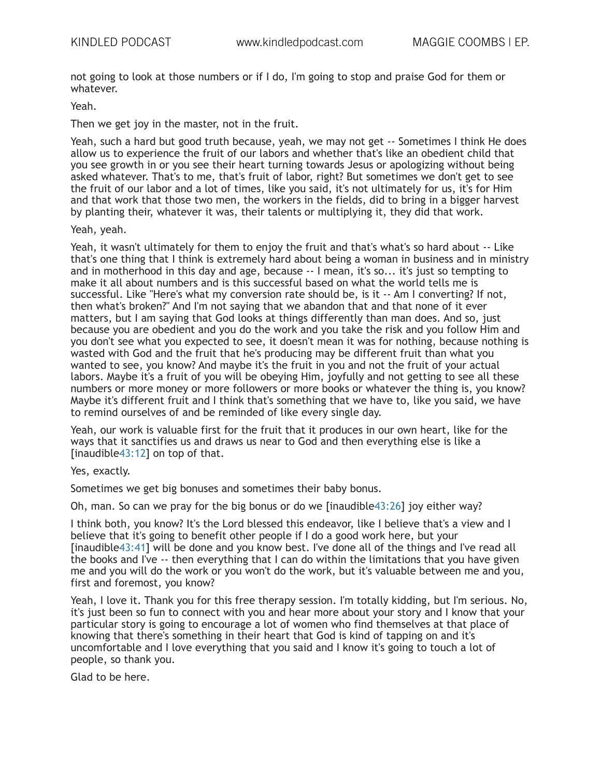not going to look at those numbers or if I do, I'm going to stop and praise God for them or whatever.

#### Yeah.

Then we get joy in the master, not in the fruit.

Yeah, such a hard but good truth because, yeah, we may not get -- Sometimes I think He does allow us to experience the fruit of our labors and whether that's like an obedient child that you see growth in or you see their heart turning towards Jesus or apologizing without being asked whatever. That's to me, that's fruit of labor, right? But sometimes we don't get to see the fruit of our labor and a lot of times, like you said, it's not ultimately for us, it's for Him and that work that those two men, the workers in the fields, did to bring in a bigger harvest by planting their, whatever it was, their talents or multiplying it, they did that work.

Yeah, yeah.

Yeah, it wasn't ultimately for them to enjoy the fruit and that's what's so hard about -- Like that's one thing that I think is extremely hard about being a woman in business and in ministry and in motherhood in this day and age, because -- I mean, it's so... it's just so tempting to make it all about numbers and is this successful based on what the world tells me is successful. Like "Here's what my conversion rate should be, is it -- Am I converting? If not, then what's broken?" And I'm not saying that we abandon that and that none of it ever matters, but I am saying that God looks at things differently than man does. And so, just because you are obedient and you do the work and you take the risk and you follow Him and you don't see what you expected to see, it doesn't mean it was for nothing, because nothing is wasted with God and the fruit that he's producing may be different fruit than what you wanted to see, you know? And maybe it's the fruit in you and not the fruit of your actual labors. Maybe it's a fruit of you will be obeying Him, joyfully and not getting to see all these numbers or more money or more followers or more books or whatever the thing is, you know? Maybe it's different fruit and I think that's something that we have to, like you said, we have to remind ourselves of and be reminded of like every single day.

Yeah, our work is valuable first for the fruit that it produces in our own heart, like for the ways that it sanctifies us and draws us near to God and then everything else is like a [inaudible43:12] on top of that.

Yes, exactly.

Sometimes we get big bonuses and sometimes their baby bonus.

Oh, man. So can we pray for the big bonus or do we [inaudible43:26] joy either way?

I think both, you know? It's the Lord blessed this endeavor, like I believe that's a view and I believe that it's going to benefit other people if I do a good work here, but your [inaudible43:41] will be done and you know best. I've done all of the things and I've read all the books and I've -- then everything that I can do within the limitations that you have given me and you will do the work or you won't do the work, but it's valuable between me and you, first and foremost, you know?

Yeah, I love it. Thank you for this free therapy session. I'm totally kidding, but I'm serious. No, it's just been so fun to connect with you and hear more about your story and I know that your particular story is going to encourage a lot of women who find themselves at that place of knowing that there's something in their heart that God is kind of tapping on and it's uncomfortable and I love everything that you said and I know it's going to touch a lot of people, so thank you.

Glad to be here.